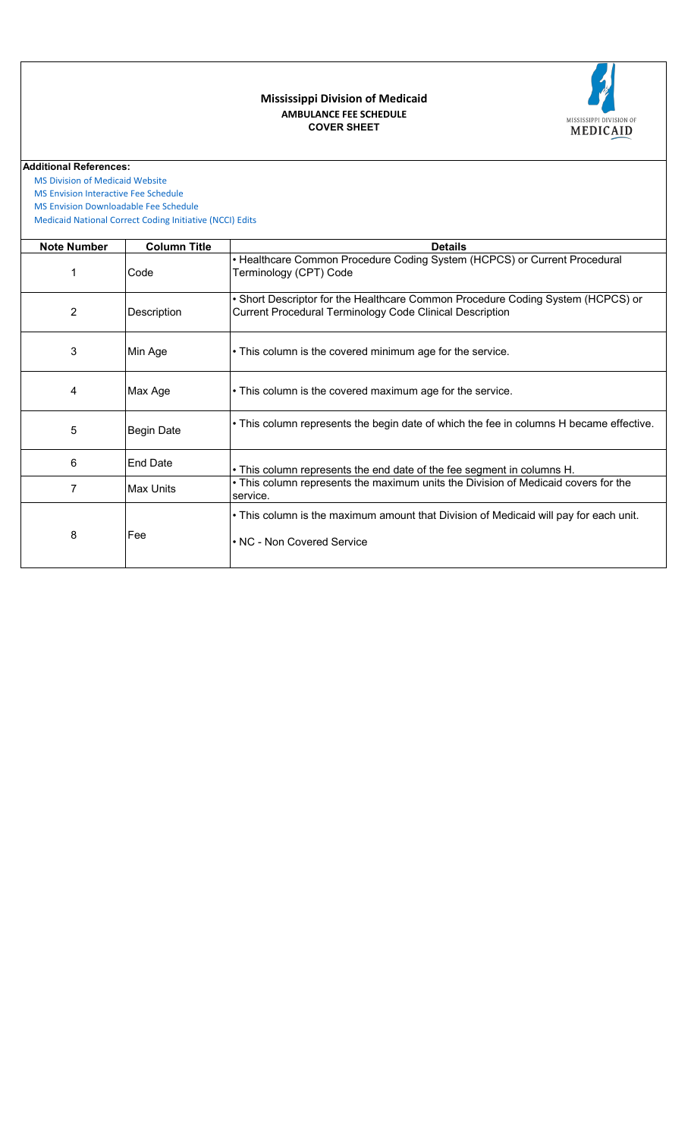

## **COVER SHEET AMBULANCE FEE SCHEDULE Mississippi Division of Medicaid**

**Additional References:**

 [MS Division of Medicai](https://medicaid.ms.gov/)d Website

 [MS Envision Interactive](https://www.ms-medicaid.com/msenvision/feeScheduleInquiry.do) Fee Schedule

 [MS Envision Download](https://www.ms-medicaid.com/msenvision/AMA_ADA_licenseAgreement.do?strUrl=feeScheduleInquiry)able Fee Schedule

 [Medicaid National Corr](https://www.medicaid.gov/medicaid/program-integrity/national-correct-coding-initiative/medicaid-ncci-edit-files/index.html)ect Coding Initiative (NCCI) Edits

| <b>Note Number</b> | <b>Column Title</b> | <b>Details</b>                                                                                                                                     |  |  |  |  |
|--------------------|---------------------|----------------------------------------------------------------------------------------------------------------------------------------------------|--|--|--|--|
|                    | Code                | • Healthcare Common Procedure Coding System (HCPCS) or Current Procedural<br>Terminology (CPT) Code                                                |  |  |  |  |
| 2                  | Description         | • Short Descriptor for the Healthcare Common Procedure Coding System (HCPCS) or<br><b>Current Procedural Terminology Code Clinical Description</b> |  |  |  |  |
| 3                  | Min Age             | • This column is the covered minimum age for the service.                                                                                          |  |  |  |  |
| 4                  | Max Age             | • This column is the covered maximum age for the service.                                                                                          |  |  |  |  |
| 5                  | <b>Begin Date</b>   | • This column represents the begin date of which the fee in columns H became effective.                                                            |  |  |  |  |
| 6                  | <b>End Date</b>     | . This column represents the end date of the fee segment in columns H.                                                                             |  |  |  |  |
| 7                  | <b>Max Units</b>    | • This column represents the maximum units the Division of Medicaid covers for the<br>service.                                                     |  |  |  |  |
| 8                  | Fee                 | • This column is the maximum amount that Division of Medicaid will pay for each unit.<br>• NC - Non Covered Service                                |  |  |  |  |